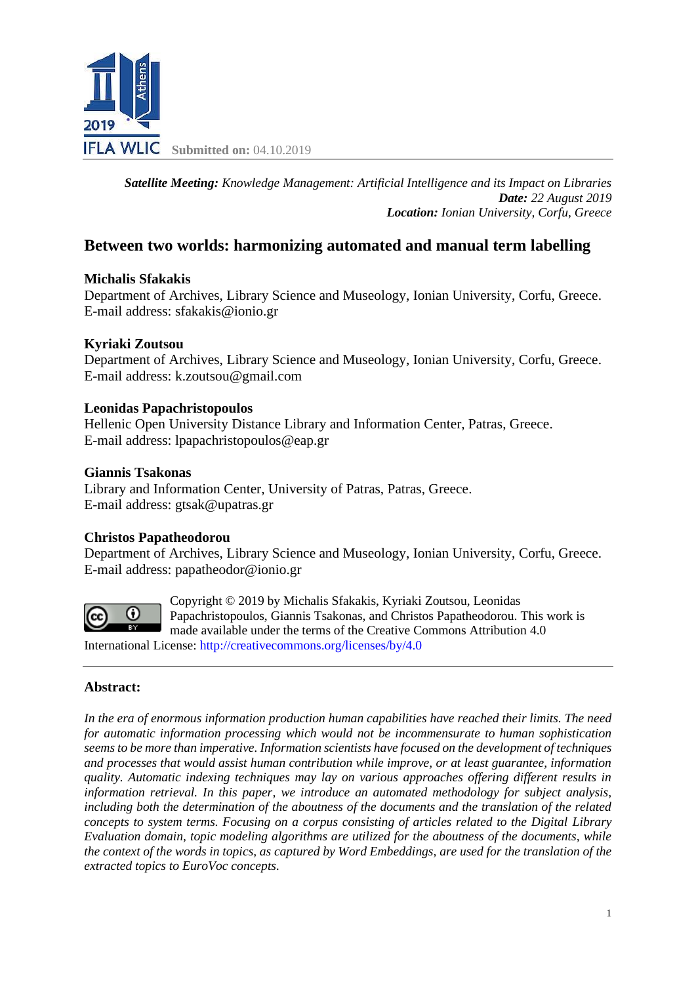

*Satellite Meeting: Knowledge Management: Artificial Intelligence and its Impact on Libraries Date: 22 August 2019 Location: Ionian University, Corfu, Greece*

# **Between two worlds: harmonizing automated and manual term labelling**

## **Michalis Sfakakis**

Department of Archives, Library Science and Museology, Ionian University, Corfu, Greece. E-mail address: sfakakis@ionio.gr

## **Kyriaki Zoutsou**

Department of Archives, Library Science and Museology, Ionian University, Corfu, Greece. E-mail address: k.zoutsou@gmail.com

### **Leonidas Papachristopoulos**

Hellenic Open University Distance Library and Information Center, Patras, Greece. E-mail address: lpapachristopoulos@eap.gr

### **Giannis Tsakonas**

Library and Information Center, University of Patras, Patras, Greece. E-mail address: gtsak@upatras.gr

### **Christos Papatheodorou**

Department of Archives, Library Science and Museology, Ionian University, Corfu, Greece. E-mail address: papatheodor@ionio.gr



Copyright © 2019 by Michalis Sfakakis, Kyriaki Zoutsou, Leonidas Papachristopoulos, Giannis Tsakonas, and Christos Papatheodorou. This work is made available under the terms of the Creative Commons Attribution 4.0 International License: <http://creativecommons.org/licenses/by/4.0>

### **Abstract:**

*In the era of enormous information production human capabilities have reached their limits. The need for automatic information processing which would not be incommensurate to human sophistication seems to be more than imperative. Information scientists have focused on the development of techniques and processes that would assist human contribution while improve, or at least guarantee, information quality. Automatic indexing techniques may lay on various approaches offering different results in information retrieval. In this paper, we introduce an automated methodology for subject analysis, including both the determination of the aboutness of the documents and the translation of the related concepts to system terms. Focusing on a corpus consisting of articles related to the Digital Library Evaluation domain, topic modeling algorithms are utilized for the aboutness of the documents, while the context of the words in topics, as captured by Word Embeddings, are used for the translation of the extracted topics to EuroVoc concepts.*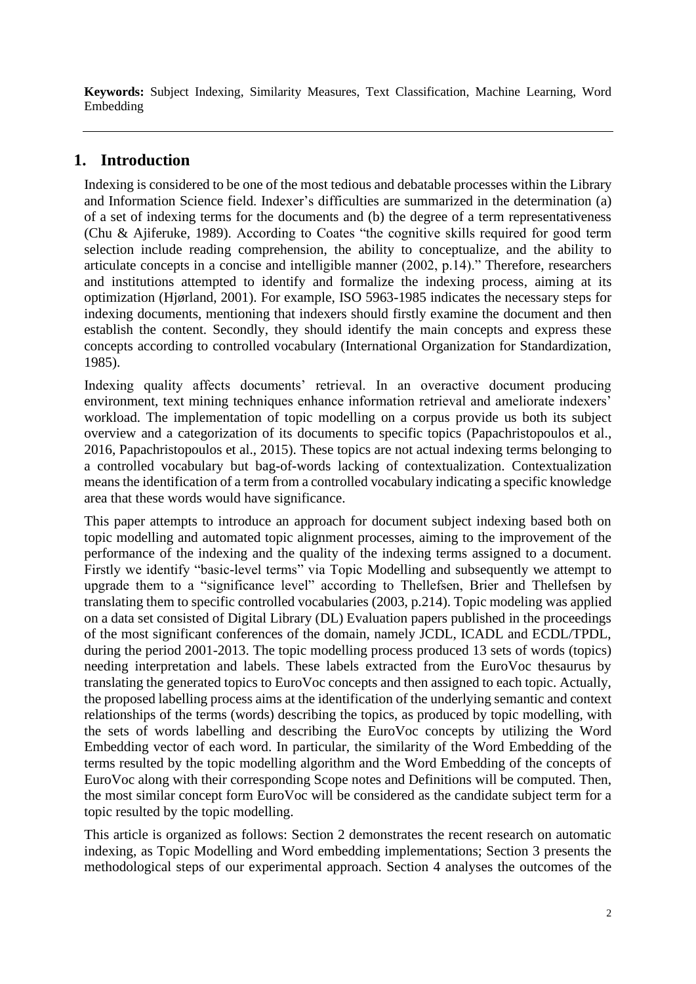**Keywords:** Subject Indexing, Similarity Measures, Text Classification, Machine Learning, Word Embedding

# **1. Introduction**

Indexing is considered to be one of the most tedious and debatable processes within the Library and Information Science field. Indexer's difficulties are summarized in the determination (a) of a set of indexing terms for the documents and (b) the degree of a term representativeness (Chu & Ajiferuke, 1989). According to Coates "the cognitive skills required for good term selection include reading comprehension, the ability to conceptualize, and the ability to articulate concepts in a concise and intelligible manner (2002, p.14)." Therefore, researchers and institutions attempted to identify and formalize the indexing process, aiming at its optimization (Hjørland, 2001). For example, ISO 5963-1985 indicates the necessary steps for indexing documents, mentioning that indexers should firstly examine the document and then establish the content. Secondly, they should identify the main concepts and express these concepts according to controlled vocabulary (International Organization for Standardization, 1985).

Indexing quality affects documents' retrieval. In an overactive document producing environment, text mining techniques enhance information retrieval and ameliorate indexers' workload. The implementation of topic modelling on a corpus provide us both its subject overview and a categorization of its documents to specific topics (Papachristopoulos et al., 2016, Papachristopoulos et al., 2015). These topics are not actual indexing terms belonging to a controlled vocabulary but bag-of-words lacking of contextualization. Contextualization means the identification of a term from a controlled vocabulary indicating a specific knowledge area that these words would have significance.

This paper attempts to introduce an approach for document subject indexing based both on topic modelling and automated topic alignment processes, aiming to the improvement of the performance of the indexing and the quality of the indexing terms assigned to a document. Firstly we identify "basic-level terms" via Topic Modelling and subsequently we attempt to upgrade them to a "significance level" according to Thellefsen, Brier and Thellefsen by translating them to specific controlled vocabularies (2003, p.214). Topic modeling was applied on a data set consisted of Digital Library (DL) Evaluation papers published in the proceedings of the most significant conferences of the domain, namely JCDL, ICADL and ECDL/TPDL, during the period 2001-2013. The topic modelling process produced 13 sets of words (topics) needing interpretation and labels. These labels extracted from the EuroVoc thesaurus by translating the generated topics to EuroVoc concepts and then assigned to each topic. Actually, the proposed labelling process aims at the identification of the underlying semantic and context relationships of the terms (words) describing the topics, as produced by topic modelling, with the sets of words labelling and describing the EuroVoc concepts by utilizing the Word Embedding vector of each word. In particular, the similarity of the Word Embedding of the terms resulted by the topic modelling algorithm and the Word Embedding of the concepts of EuroVoc along with their corresponding Scope notes and Definitions will be computed. Then, the most similar concept form EuroVoc will be considered as the candidate subject term for a topic resulted by the topic modelling.

This article is organized as follows: Section 2 demonstrates the recent research on automatic indexing, as Topic Modelling and Word embedding implementations; Section 3 presents the methodological steps of our experimental approach. Section 4 analyses the outcomes of the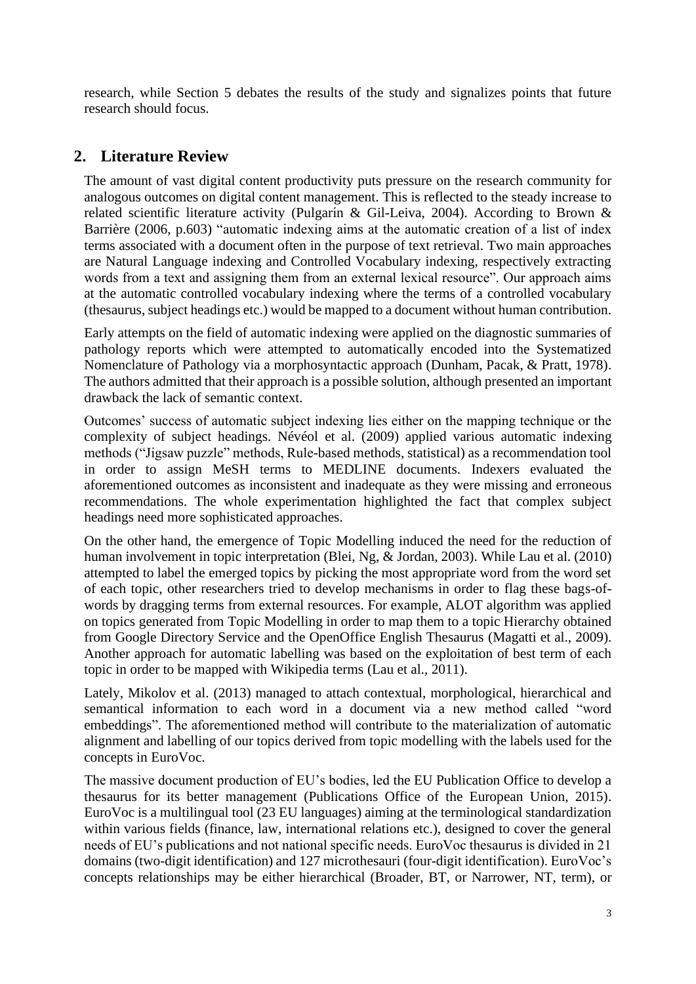research, while Section 5 debates the results of the study and signalizes points that future research should focus.

# **2. Literature Review**

The amount of vast digital content productivity puts pressure οn the research community for analogous outcomes on digital content management. This is reflected to the steady increase to related scientific literature activity (Pulgarin & Gil-Leiva, 2004). According to Brown & Barrière (2006, p.603) "automatic indexing aims at the automatic creation of a list of index terms associated with a document often in the purpose of text retrieval. Two main approaches are Natural Language indexing and Controlled Vocabulary indexing, respectively extracting words from a text and assigning them from an external lexical resource". Our approach aims at the automatic controlled vocabulary indexing where the terms of a controlled vocabulary (thesaurus, subject headings etc.) would be mapped to a document without human contribution.

Early attempts on the field of automatic indexing were applied on the diagnostic summaries of pathology reports which were attempted to automatically encoded into the Systematized Nomenclature of Pathology via a morphosyntactic approach (Dunham, Pacak, & Pratt, 1978). The authors admitted that their approach is a possible solution, although presented an important drawback the lack of semantic context.

Outcomes' success of automatic subject indexing lies either on the mapping technique or the complexity of subject headings. Névéol et al. (2009) applied various automatic indexing methods ("Jigsaw puzzle" methods, Rule-based methods, statistical) as a recommendation tool in order to assign MeSH terms to MEDLINE documents. Indexers evaluated the aforementioned outcomes as inconsistent and inadequate as they were missing and erroneous recommendations. The whole experimentation highlighted the fact that complex subject headings need more sophisticated approaches.

On the other hand, the emergence of Topic Modelling induced the need for the reduction of human involvement in topic interpretation (Blei, Ng, & Jordan, 2003). While Lau et al. (2010) attempted to label the emerged topics by picking the most appropriate word from the word set of each topic, other researchers tried to develop mechanisms in order to flag these bags-ofwords by dragging terms from external resources. For example, ALOT algorithm was applied on topics generated from Topic Modelling in order to map them to a topic Hierarchy obtained from Google Directory Service and the OpenOffice English Thesaurus (Magatti et al., 2009). Another approach for automatic labelling was based on the exploitation of best term of each topic in order to be mapped with Wikipedia terms (Lau et al., 2011).

Lately, Mikolov et al. (2013) managed to attach contextual, morphological, hierarchical and semantical information to each word in a document via a new method called "word embeddings". The aforementioned method will contribute to the materialization of automatic alignment and labelling of our topics derived from topic modelling with the labels used for the concepts in EuroVoc.

The massive document production of EU's bodies, led the EU Publication Office to develop a thesaurus for its better management (Publications Office of the European Union, 2015). EuroVoc is a multilingual tool (23 EU languages) aiming at the terminological standardization within various fields (finance, law, international relations etc.), designed to cover the general needs of EU's publications and not national specific needs. EuroVoc thesaurus is divided in 21 domains (two-digit identification) and 127 microthesauri (four-digit identification). EuroVoc's concepts relationships may be either hierarchical (Broader, BT, or Narrower, NT, term), or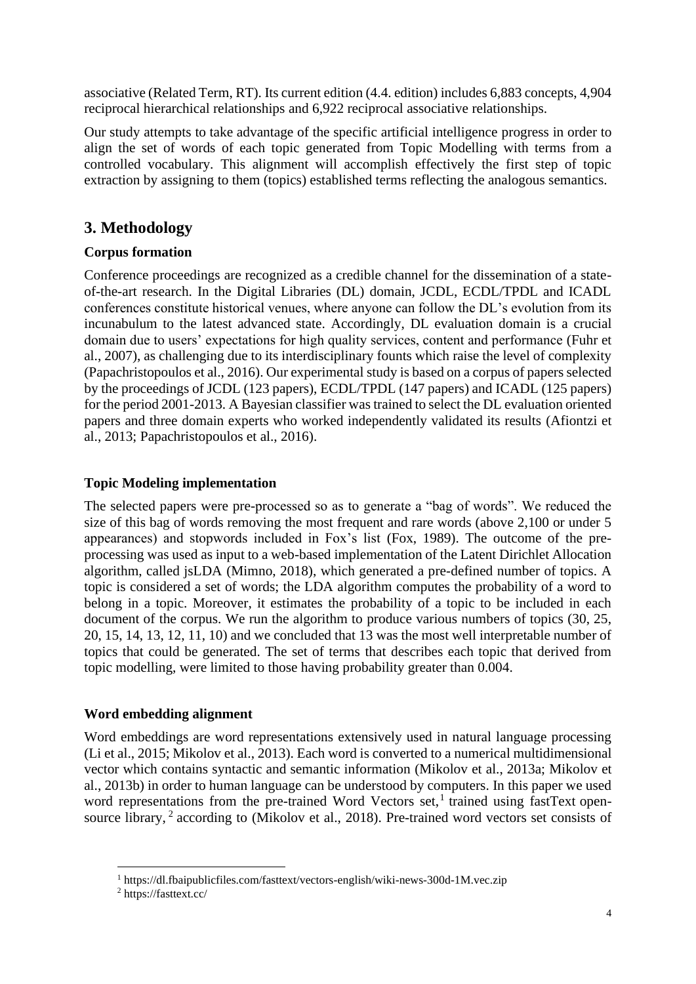associative (Related Term, RT). Its current edition (4.4. edition) includes 6,883 concepts, 4,904 reciprocal hierarchical relationships and 6,922 reciprocal associative relationships.

Our study attempts to take advantage of the specific artificial intelligence progress in order to align the set of words of each topic generated from Topic Modelling with terms from a controlled vocabulary. This alignment will accomplish effectively the first step of topic extraction by assigning to them (topics) established terms reflecting the analogous semantics.

# **3. Methodology**

## **Corpus formation**

Conference proceedings are recognized as a credible channel for the dissemination of a stateof-the-art research. In the Digital Libraries (DL) domain, JCDL, ECDL/TPDL and ICADL conferences constitute historical venues, where anyone can follow the DL's evolution from its incunabulum to the latest advanced state. Accordingly, DL evaluation domain is a crucial domain due to users' expectations for high quality services, content and performance (Fuhr et al., 2007), as challenging due to its interdisciplinary founts which raise the level of complexity (Papachristopoulos et al., 2016). Our experimental study is based on a corpus of papers selected by the proceedings of JCDL (123 papers), ECDL/TPDL (147 papers) and ICADL (125 papers) for the period 2001-2013. A Bayesian classifier was trained to select the DL evaluation oriented papers and three domain experts who worked independently validated its results (Afiontzi et al., 2013; Papachristopoulos et al., 2016).

## **Topic Modeling implementation**

The selected papers were pre-processed so as to generate a "bag of words". We reduced the size of this bag of words removing the most frequent and rare words (above 2,100 or under 5 appearances) and stopwords included in Fox's list (Fox, 1989). The outcome of the preprocessing was used as input to a web-based implementation of the Latent Dirichlet Allocation algorithm, called jsLDA (Mimno, 2018), which generated a pre-defined number of topics. A topic is considered a set of words; the LDA algorithm computes the probability of a word to belong in a topic. Moreover, it estimates the probability of a topic to be included in each document of the corpus. We run the algorithm to produce various numbers of topics  $(30, 25, ...)$ 20, 15, 14, 13, 12, 11, 10) and we concluded that 13 was the most well interpretable number of topics that could be generated. The set of terms that describes each topic that derived from topic modelling, were limited to those having probability greater than 0.004.

## **Word embedding alignment**

Word embeddings are word representations extensively used in natural language processing (Li et al., 2015; Mikolov et al., 2013). Each word is converted to a numerical multidimensional vector which contains syntactic and semantic information (Mikolov et al., 2013a; Mikolov et al., 2013b) in order to human language can be understood by computers. In this paper we used word representations from the pre-trained Word Vectors set,<sup>1</sup> trained using fastText opensource library,<sup>2</sup> according to (Mikolov et al., 2018). Pre-trained word vectors set consists of

<sup>1</sup> https://dl.fbaipublicfiles.com/fasttext/vectors-english/wiki-news-300d-1M.vec.zip

<sup>2</sup> https://fasttext.cc/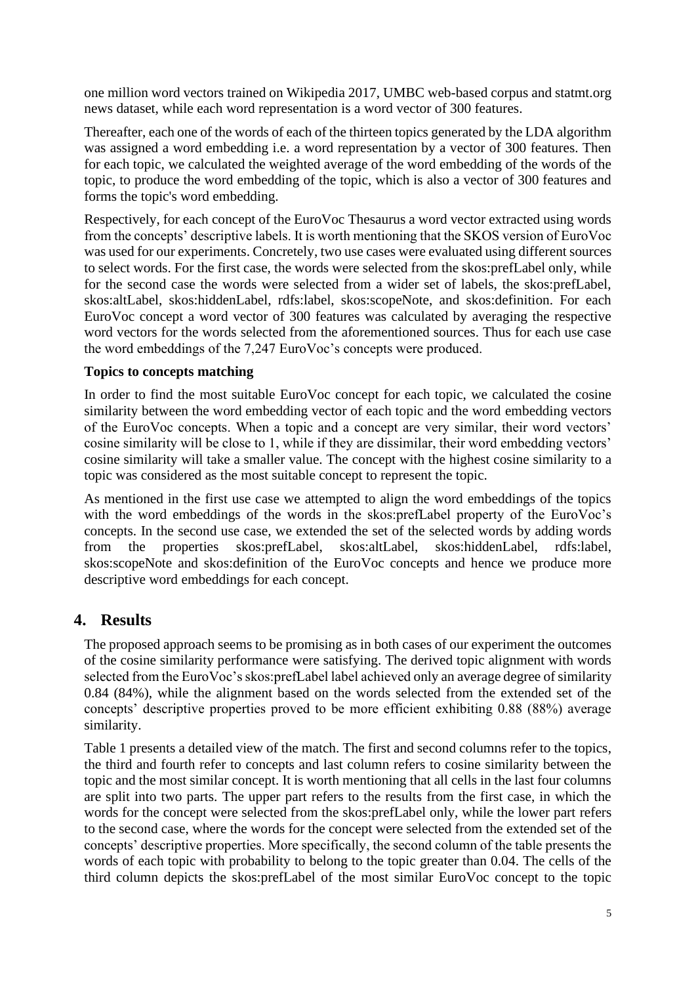one million word vectors trained on Wikipedia 2017, UMBC web-based corpus and statmt.org news dataset, while each word representation is a word vector of 300 features.

Thereafter, each one of the words of each of the thirteen topics generated by the LDA algorithm was assigned a word embedding i.e. a word representation by a vector of 300 features. Then for each topic, we calculated the weighted average of the word embedding of the words of the topic, to produce the word embedding of the topic, which is also a vector of 300 features and forms the topic's word embedding.

Respectively, for each concept of the EuroVoc Thesaurus a word vector extracted using words from the concepts' descriptive labels. It is worth mentioning that the SKOS version of EuroVoc was used for our experiments. Concretely, two use cases were evaluated using different sources to select words. For the first case, the words were selected from the skos:prefLabel only, while for the second case the words were selected from a wider set of labels, the skos:prefLabel, skos:altLabel, skos:hiddenLabel, rdfs:label, skos:scopeNote, and skos:definition. For each EuroVoc concept a word vector of 300 features was calculated by averaging the respective word vectors for the words selected from the aforementioned sources. Thus for each use case the word embeddings of the 7,247 EuroVoc's concepts were produced.

### **Topics to concepts matching**

In order to find the most suitable EuroVoc concept for each topic, we calculated the cosine similarity between the word embedding vector of each topic and the word embedding vectors of the EuroVoc concepts. When a topic and a concept are very similar, their word vectors' cosine similarity will be close to 1, while if they are dissimilar, their word embedding vectors' cosine similarity will take a smaller value. The concept with the highest cosine similarity to a topic was considered as the most suitable concept to represent the topic.

As mentioned in the first use case we attempted to align the word embeddings of the topics with the word embeddings of the words in the skos:prefLabel property of the EuroVoc's concepts. In the second use case, we extended the set of the selected words by adding words from the properties skos:prefLabel, skos:altLabel, skos:hiddenLabel, rdfs:label, skos:scopeNote and skos:definition of the EuroVoc concepts and hence we produce more descriptive word embeddings for each concept.

## **4. Results**

The proposed approach seems to be promising as in both cases of our experiment the outcomes of the cosine similarity performance were satisfying. The derived topic alignment with words selected from the EuroVoc's skos:prefLabel label achieved only an average degree of similarity 0.84 (84%), while the alignment based on the words selected from the extended set of the concepts' descriptive properties proved to be more efficient exhibiting 0.88 (88%) average similarity.

Table 1 presents a detailed view of the match. The first and second columns refer to the topics, the third and fourth refer to concepts and last column refers to cosine similarity between the topic and the most similar concept. It is worth mentioning that all cells in the last four columns are split into two parts. The upper part refers to the results from the first case, in which the words for the concept were selected from the skos:prefLabel only, while the lower part refers to the second case, where the words for the concept were selected from the extended set of the concepts' descriptive properties. More specifically, the second column of the table presents the words of each topic with probability to belong to the topic greater than 0.04. The cells of the third column depicts the skos:prefLabel of the most similar EuroVoc concept to the topic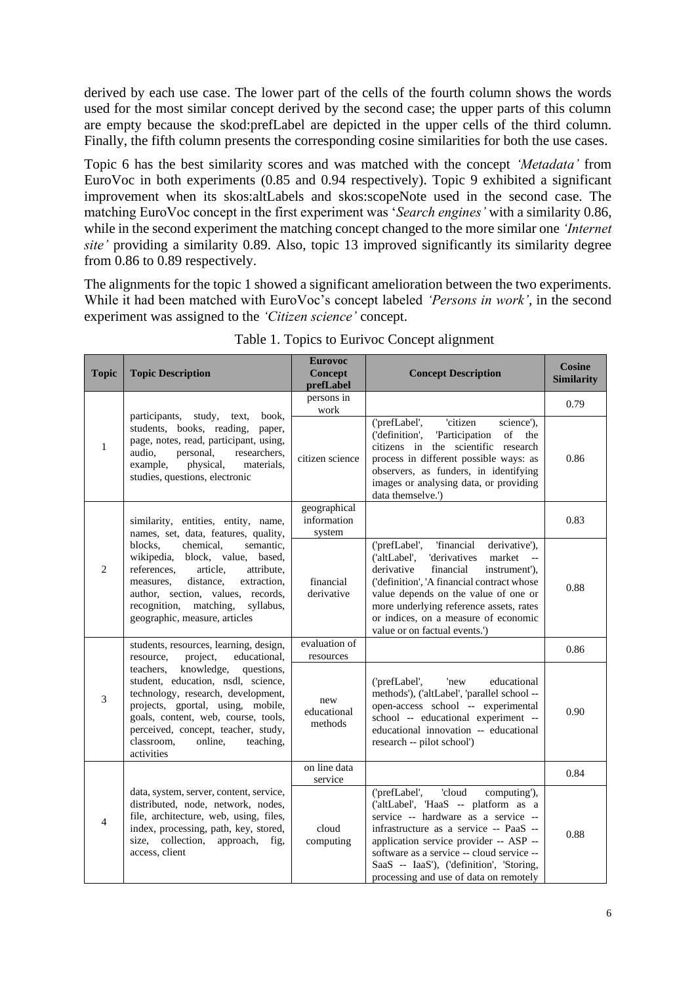derived by each use case. The lower part of the cells of the fourth column shows the words used for the most similar concept derived by the second case; the upper parts of this column are empty because the skod:prefLabel are depicted in the upper cells of the third column. Finally, the fifth column presents the corresponding cosine similarities for both the use cases.

Topic 6 has the best similarity scores and was matched with the concept *'Metadata'* from EuroVoc in both experiments (0.85 and 0.94 respectively). Topic 9 exhibited a significant improvement when its skos:altLabels and skos:scopeNote used in the second case. The matching EuroVoc concept in the first experiment was '*Search engines'* with a similarity 0.86, while in the second experiment the matching concept changed to the more similar one *'Internet site'* providing a similarity 0.89. Also, topic 13 improved significantly its similarity degree from 0.86 to 0.89 respectively.

The alignments for the topic 1 showed a significant amelioration between the two experiments. While it had been matched with EuroVoc's concept labeled *'Persons in work'*, in the second experiment was assigned to the *'Citizen science'* concept.

| <b>Topic</b>   | <b>Topic Description</b>                                                                                                                                                                                                                                                                                                                                                    | <b>Eurovoc</b><br><b>Concept</b><br>prefLabel | <b>Concept Description</b>                                                                                                                                                                                                                                                                                                                            | <b>Cosine</b><br><b>Similarity</b> |
|----------------|-----------------------------------------------------------------------------------------------------------------------------------------------------------------------------------------------------------------------------------------------------------------------------------------------------------------------------------------------------------------------------|-----------------------------------------------|-------------------------------------------------------------------------------------------------------------------------------------------------------------------------------------------------------------------------------------------------------------------------------------------------------------------------------------------------------|------------------------------------|
| $\mathbf{1}$   | participants,<br>study,<br>text,<br>book,<br>students, books, reading, paper,<br>page, notes, read, participant, using,<br>audio,<br>personal,<br>researchers,<br>materials.<br>example,<br>physical,<br>studies, questions, electronic                                                                                                                                     | persons in<br>work                            |                                                                                                                                                                                                                                                                                                                                                       | 0.79                               |
|                |                                                                                                                                                                                                                                                                                                                                                                             | citizen science                               | 'citizen<br>('prefLabel',<br>science'),<br>('definition',<br><b>Participation</b><br>of<br>the<br>citizens in the scientific research<br>process in different possible ways: as<br>observers, as funders, in identifying<br>images or analysing data, or providing<br>data themselve.')                                                               | 0.86                               |
| 2              | similarity, entities, entity, name,<br>names, set, data, features, quality,<br>chemical,<br>blocks,<br>semantic,<br>wikipedia,<br>block, value, based,<br>references,<br>article,<br>attribute,<br>distance.<br>extraction,<br>measures.<br>author, section, values, records,<br>recognition,<br>matching,<br>syllabus.<br>geographic, measure, articles                    | geographical<br>information<br>system         |                                                                                                                                                                                                                                                                                                                                                       | 0.83                               |
|                |                                                                                                                                                                                                                                                                                                                                                                             | financial<br>derivative                       | 'financial<br>('prefLabel',<br>derivative'),<br>('altLabel',<br>'derivatives<br>market<br>$- -$<br>derivative<br>financial<br>instrument'),<br>('definition', 'A financial contract whose<br>value depends on the value of one or<br>more underlying reference assets, rates<br>or indices, on a measure of economic<br>value or on factual events.') | 0.88                               |
| 3              | students, resources, learning, design,<br>project,<br>educational,<br>resource,<br>knowledge,<br>questions,<br>teachers.<br>student, education, nsdl, science,<br>technology, research, development,<br>projects, gportal, using, mobile,<br>goals, content, web, course, tools,<br>perceived, concept, teacher, study,<br>classroom,<br>online,<br>teaching,<br>activities | evaluation of<br>resources                    |                                                                                                                                                                                                                                                                                                                                                       | 0.86                               |
|                |                                                                                                                                                                                                                                                                                                                                                                             | new<br>educational<br>methods                 | ('prefLabel',<br>'new<br>educational<br>methods'), ('altLabel', 'parallel school --<br>open-access school -- experimental<br>school -- educational experiment --<br>educational innovation -- educational<br>research -- pilot school')                                                                                                               | 0.90                               |
| $\overline{4}$ |                                                                                                                                                                                                                                                                                                                                                                             | on line data<br>service                       |                                                                                                                                                                                                                                                                                                                                                       | 0.84                               |
|                | data, system, server, content, service,<br>distributed, node, network, nodes,<br>file, architecture, web, using, files,<br>index, processing, path, key, stored,<br>size, collection, approach,<br>fig.<br>access, client                                                                                                                                                   | cloud<br>computing                            | ('prefLabel',<br>'cloud<br>computing'),<br>('altLabel', 'HaaS -- platform as a<br>service -- hardware as a service --<br>infrastructure as a service -- PaaS --<br>application service provider -- ASP --<br>software as a service -- cloud service --<br>SaaS -- IaaS'), ('definition', 'Storing,<br>processing and use of data on remotely          | 0.88                               |

Table 1. Topics to Eurivoc Concept alignment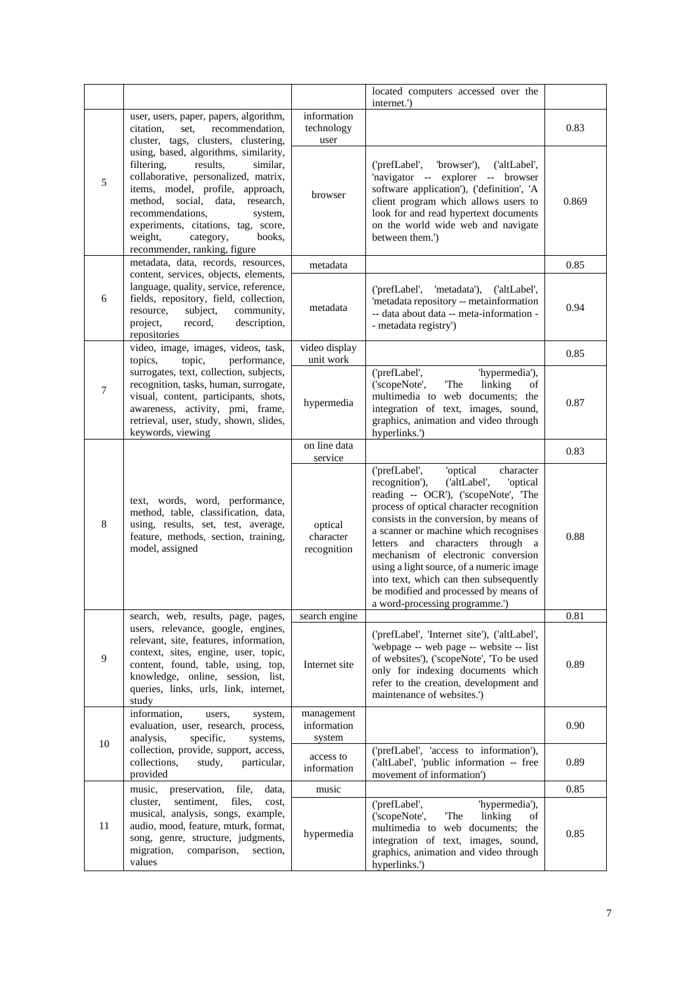|        |                                                                                                                                                                                                                                                                                                                                    |                                     | located computers accessed over the<br>internet.')                                                                                                                                                                                                                                                                                                                                                                                                                                                      |       |
|--------|------------------------------------------------------------------------------------------------------------------------------------------------------------------------------------------------------------------------------------------------------------------------------------------------------------------------------------|-------------------------------------|---------------------------------------------------------------------------------------------------------------------------------------------------------------------------------------------------------------------------------------------------------------------------------------------------------------------------------------------------------------------------------------------------------------------------------------------------------------------------------------------------------|-------|
|        | user, users, paper, papers, algorithm,<br>recommendation,<br>citation.<br>set.<br>cluster, tags, clusters, clustering,                                                                                                                                                                                                             | information<br>technology<br>user   |                                                                                                                                                                                                                                                                                                                                                                                                                                                                                                         | 0.83  |
| 5      | using, based, algorithms, similarity,<br>filtering,<br>results.<br>similar.<br>collaborative, personalized, matrix,<br>items, model, profile, approach,<br>method, social, data, research,<br>recommendations,<br>system,<br>experiments, citations, tag, score,<br>books.<br>weight,<br>category,<br>recommender, ranking, figure | browser                             | ('prefLabel',<br>'browser'),<br>('altLabel',<br>'navigator -- explorer -- browser<br>software application'), ('definition', 'A<br>client program which allows users to<br>look for and read hypertext documents<br>on the world wide web and navigate<br>between them.')                                                                                                                                                                                                                                | 0.869 |
|        | metadata, data, records, resources,                                                                                                                                                                                                                                                                                                | metadata                            |                                                                                                                                                                                                                                                                                                                                                                                                                                                                                                         | 0.85  |
| 6      | content, services, objects, elements,<br>language, quality, service, reference,<br>fields, repository, field, collection,<br>community,<br>resource,<br>subject,<br>description,<br>project,<br>record,<br>repositories                                                                                                            | metadata                            | ('prefLabel',<br>'metadata'),<br>('altLabel',<br>'metadata repository -- metainformation<br>-- data about data -- meta-information -<br>- metadata registry')                                                                                                                                                                                                                                                                                                                                           | 0.94  |
|        | video, image, images, videos, task,<br>topics,<br>topic,<br>performance,                                                                                                                                                                                                                                                           | video display<br>unit work          |                                                                                                                                                                                                                                                                                                                                                                                                                                                                                                         | 0.85  |
| $\tau$ | surrogates, text, collection, subjects,<br>recognition, tasks, human, surrogate,<br>visual, content, participants, shots,<br>awareness, activity, pmi, frame,<br>retrieval, user, study, shown, slides,<br>keywords, viewing                                                                                                       | hypermedia                          | ('prefLabel',<br>'hypermedia'),<br>The<br>('scopeNote',<br>linking<br>of<br>multimedia to web documents; the<br>integration of text, images, sound,<br>graphics, animation and video through<br>hyperlinks.')                                                                                                                                                                                                                                                                                           | 0.87  |
| 8      |                                                                                                                                                                                                                                                                                                                                    | on line data<br>service             |                                                                                                                                                                                                                                                                                                                                                                                                                                                                                                         | 0.83  |
|        | text, words, word, performance,<br>method, table, classification, data,<br>using, results, set, test, average,<br>feature, methods, section, training,<br>model, assigned                                                                                                                                                          | optical<br>character<br>recognition | ('prefLabel',<br>'optical<br>character<br>recognition'),<br>('altLabel',<br>'optical<br>reading -- OCR'), ('scopeNote', 'The<br>process of optical character recognition<br>consists in the conversion, by means of<br>a scanner or machine which recognises<br>letters and characters through a<br>mechanism of electronic conversion<br>using a light source, of a numeric image<br>into text, which can then subsequently<br>be modified and processed by means of<br>a word-processing programme.') | 0.88  |
|        | search, web, results, page, pages,                                                                                                                                                                                                                                                                                                 | search engine                       |                                                                                                                                                                                                                                                                                                                                                                                                                                                                                                         | 0.81  |
| 9      | users, relevance, google, engines,<br>relevant, site, features, information,<br>context, sites, engine, user, topic,<br>content, found, table, using, top,<br>knowledge, online, session, list,<br>queries, links, urls, link, internet,<br>study                                                                                  | Internet site                       | ('prefLabel', 'Internet site'), ('altLabel',<br>'webpage -- web page -- website -- list<br>of websites'), ('scopeNote', 'To be used<br>only for indexing documents which<br>refer to the creation, development and<br>maintenance of websites.')                                                                                                                                                                                                                                                        | 0.89  |
| 10     | information,<br>users,<br>system,<br>evaluation, user, research, process,<br>specific,<br>analysis,<br>systems,                                                                                                                                                                                                                    | management<br>information<br>system |                                                                                                                                                                                                                                                                                                                                                                                                                                                                                                         | 0.90  |
|        | collection, provide, support, access,<br>collections.<br>study,<br>particular,<br>provided                                                                                                                                                                                                                                         | access to<br>information            | ('prefLabel', 'access to information'),<br>('altLabel', 'public information -- free<br>movement of information')                                                                                                                                                                                                                                                                                                                                                                                        | 0.89  |
|        | music,<br>file,<br>preservation,<br>data,                                                                                                                                                                                                                                                                                          | music                               |                                                                                                                                                                                                                                                                                                                                                                                                                                                                                                         | 0.85  |
| 11     | sentiment,<br>cluster,<br>files,<br>cost,<br>musical, analysis, songs, example,<br>audio, mood, feature, mturk, format,<br>song, genre, structure, judgments,<br>migration,<br>comparison,<br>section,<br>values                                                                                                                   | hypermedia                          | ('prefLabel',<br>'hypermedia'),<br>The<br>('scopeNote',<br>linking<br>of<br>multimedia to web documents; the<br>integration of text, images, sound,<br>graphics, animation and video through<br>hyperlinks.')                                                                                                                                                                                                                                                                                           | 0.85  |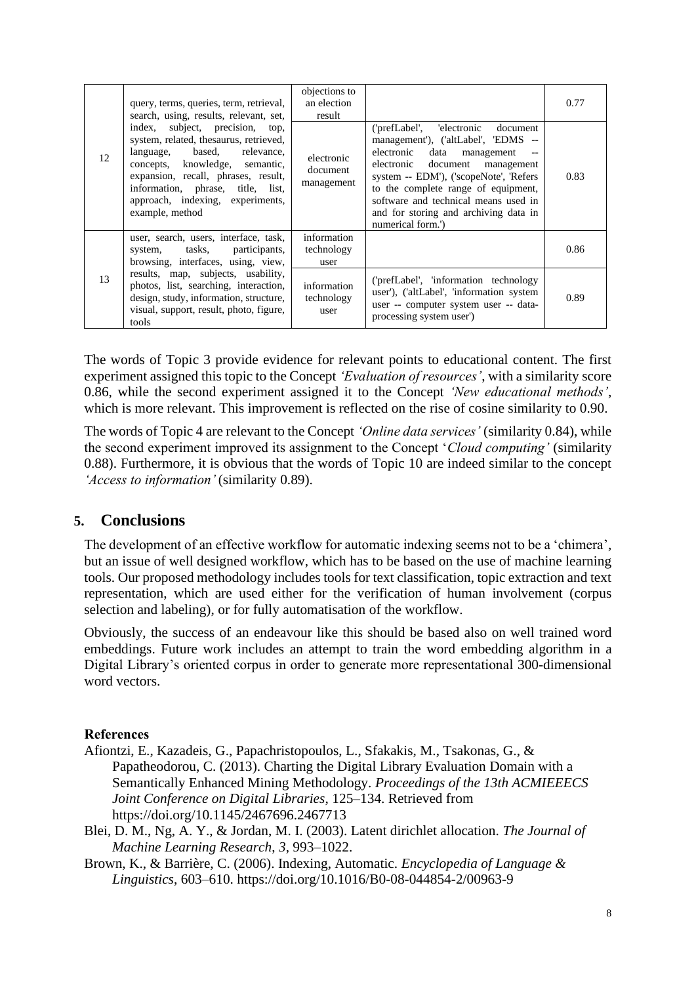| 12 | query, terms, queries, term, retrieval,<br>search, using, results, relevant, set,<br>index, subject, precision, top,<br>system, related, thesaurus, retrieved,<br>based,<br>relevance,<br>language,<br>concepts, knowledge, semantic,<br>expansion, recall, phrases, result,<br>information, phrase, title, list,<br>approach, indexing, experiments,<br>example, method | objections to<br>an election<br>result |                                                                                                                                                                                                                                                                                                                                        | 0.77 |
|----|--------------------------------------------------------------------------------------------------------------------------------------------------------------------------------------------------------------------------------------------------------------------------------------------------------------------------------------------------------------------------|----------------------------------------|----------------------------------------------------------------------------------------------------------------------------------------------------------------------------------------------------------------------------------------------------------------------------------------------------------------------------------------|------|
|    |                                                                                                                                                                                                                                                                                                                                                                          | electronic<br>document<br>management   | ('prefLabel', 'electronic document<br>management'), ('altLabel', 'EDMS --<br>electronic data<br>management<br>electronic document<br>management<br>system -- EDM'), ('scopeNote', 'Refers<br>to the complete range of equipment,<br>software and technical means used in<br>and for storing and archiving data in<br>numerical form.') | 0.83 |
| 13 | user, search, users, interface, task,<br>system, tasks, participants,<br>browsing, interfaces, using, view,<br>results, map, subjects, usability,<br>photos, list, searching, interaction,<br>design, study, information, structure,<br>visual, support, result, photo, figure,<br>tools                                                                                 | information<br>technology<br>user      |                                                                                                                                                                                                                                                                                                                                        | 0.86 |
|    |                                                                                                                                                                                                                                                                                                                                                                          | information<br>technology<br>user      | ('prefLabel', 'information technology<br>user'), ('altLabel', 'information system<br>user -- computer system user -- data-<br>processing system user')                                                                                                                                                                                 | 0.89 |

The words of Topic 3 provide evidence for relevant points to educational content. The first experiment assigned this topic to the Concept *'Evaluation of resources'*, with a similarity score 0.86, while the second experiment assigned it to the Concept *'New educational methods'*, which is more relevant. This improvement is reflected on the rise of cosine similarity to 0.90.

The words of Topic 4 are relevant to the Concept *'Online data services'* (similarity 0.84), while the second experiment improved its assignment to the Concept '*Cloud computing'* (similarity 0.88). Furthermore, it is obvious that the words of Topic 10 are indeed similar to the concept *'Access to information'* (similarity 0.89).

## **5. Conclusions**

The development of an effective workflow for automatic indexing seems not to be a 'chimera', but an issue of well designed workflow, which has to be based on the use of machine learning tools. Our proposed methodology includes tools for text classification, topic extraction and text representation, which are used either for the verification of human involvement (corpus selection and labeling), or for fully automatisation of the workflow.

Obviously, the success of an endeavour like this should be based also on well trained word embeddings. Future work includes an attempt to train the word embedding algorithm in a Digital Library's oriented corpus in order to generate more representational 300-dimensional word vectors.

## **References**

- Afiontzi, E., Kazadeis, G., Papachristopoulos, L., Sfakakis, M., Tsakonas, G., & Papatheodorou, C. (2013). Charting the Digital Library Evaluation Domain with a Semantically Enhanced Mining Methodology. *Proceedings of the 13th ACMIEEECS Joint Conference on Digital Libraries*, 125–134. Retrieved from https://doi.org/10.1145/2467696.2467713
- Blei, D. M., Ng, A. Y., & Jordan, M. I. (2003). Latent dirichlet allocation. *The Journal of Machine Learning Research*, *3*, 993–1022.
- Brown, K., & Barrière, C. (2006). Indexing, Automatic. *Encyclopedia of Language & Linguistics*, 603–610. https://doi.org/10.1016/B0-08-044854-2/00963-9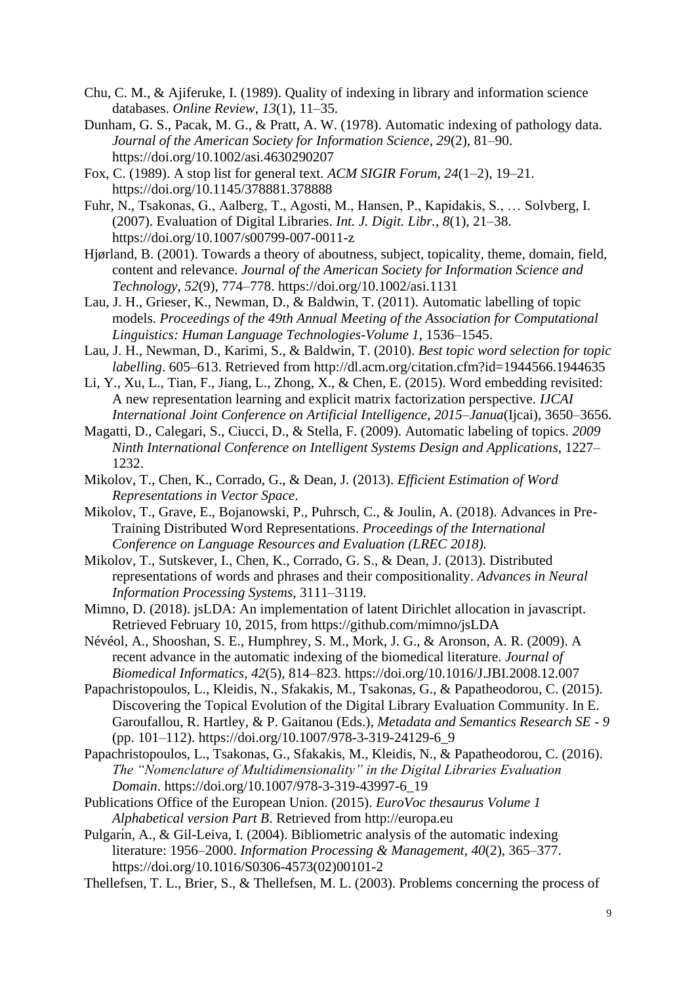- Chu, C. M., & Ajiferuke, I. (1989). Quality of indexing in library and information science databases. *Online Review*, *13*(1), 11–35.
- Dunham, G. S., Pacak, M. G., & Pratt, A. W. (1978). Automatic indexing of pathology data. *Journal of the American Society for Information Science*, *29*(2), 81–90. https://doi.org/10.1002/asi.4630290207
- Fox, C. (1989). A stop list for general text. *ACM SIGIR Forum*, *24*(1–2), 19–21. https://doi.org/10.1145/378881.378888

Fuhr, N., Tsakonas, G., Aalberg, T., Agosti, M., Hansen, P., Kapidakis, S., … Solvberg, I. (2007). Evaluation of Digital Libraries. *Int. J. Digit. Libr.*, *8*(1), 21–38. https://doi.org/10.1007/s00799-007-0011-z

- Hjørland, B. (2001). Towards a theory of aboutness, subject, topicality, theme, domain, field, content and relevance. *Journal of the American Society for Information Science and Technology*, *52*(9), 774–778. https://doi.org/10.1002/asi.1131
- Lau, J. H., Grieser, K., Newman, D., & Baldwin, T. (2011). Automatic labelling of topic models. *Proceedings of the 49th Annual Meeting of the Association for Computational Linguistics: Human Language Technologies-Volume 1*, 1536–1545.
- Lau, J. H., Newman, D., Karimi, S., & Baldwin, T. (2010). *Best topic word selection for topic labelling*. 605–613. Retrieved from http://dl.acm.org/citation.cfm?id=1944566.1944635
- Li, Y., Xu, L., Tian, F., Jiang, L., Zhong, X., & Chen, E. (2015). Word embedding revisited: A new representation learning and explicit matrix factorization perspective. *IJCAI International Joint Conference on Artificial Intelligence*, *2015*–*Janua*(Ijcai), 3650–3656.
- Magatti, D., Calegari, S., Ciucci, D., & Stella, F. (2009). Automatic labeling of topics. *2009 Ninth International Conference on Intelligent Systems Design and Applications*, 1227– 1232.
- Mikolov, T., Chen, K., Corrado, G., & Dean, J. (2013). *Efficient Estimation of Word Representations in Vector Space*.
- Mikolov, T., Grave, E., Bojanowski, P., Puhrsch, C., & Joulin, A. (2018). Advances in Pre-Training Distributed Word Representations. *Proceedings of the International Conference on Language Resources and Evaluation (LREC 2018).*
- Mikolov, T., Sutskever, I., Chen, K., Corrado, G. S., & Dean, J. (2013). Distributed representations of words and phrases and their compositionality. *Advances in Neural Information Processing Systems*, 3111–3119.
- Mimno, D. (2018). jsLDA: An implementation of latent Dirichlet allocation in javascript. Retrieved February 10, 2015, from https://github.com/mimno/jsLDA
- Névéol, A., Shooshan, S. E., Humphrey, S. M., Mork, J. G., & Aronson, A. R. (2009). A recent advance in the automatic indexing of the biomedical literature. *Journal of Biomedical Informatics*, *42*(5), 814–823. https://doi.org/10.1016/J.JBI.2008.12.007
- Papachristopoulos, L., Kleidis, N., Sfakakis, M., Tsakonas, G., & Papatheodorou, C. (2015). Discovering the Topical Evolution of the Digital Library Evaluation Community. In E. Garoufallou, R. Hartley, & P. Gaitanou (Eds.), *Metadata and Semantics Research SE - 9* (pp. 101–112). https://doi.org/10.1007/978-3-319-24129-6\_9
- Papachristopoulos, L., Tsakonas, G., Sfakakis, M., Kleidis, N., & Papatheodorou, C. (2016). *The "Nomenclature of Multidimensionality" in the Digital Libraries Evaluation Domain*. https://doi.org/10.1007/978-3-319-43997-6\_19
- Publications Office of the European Union. (2015). *EuroVoc thesaurus Volume 1 Alphabetical version Part B*. Retrieved from http://europa.eu
- Pulgarín, A., & Gil-Leiva, I. (2004). Bibliometric analysis of the automatic indexing literature: 1956–2000. *Information Processing & Management*, *40*(2), 365–377. https://doi.org/10.1016/S0306-4573(02)00101-2
- Thellefsen, T. L., Brier, S., & Thellefsen, M. L. (2003). Problems concerning the process of